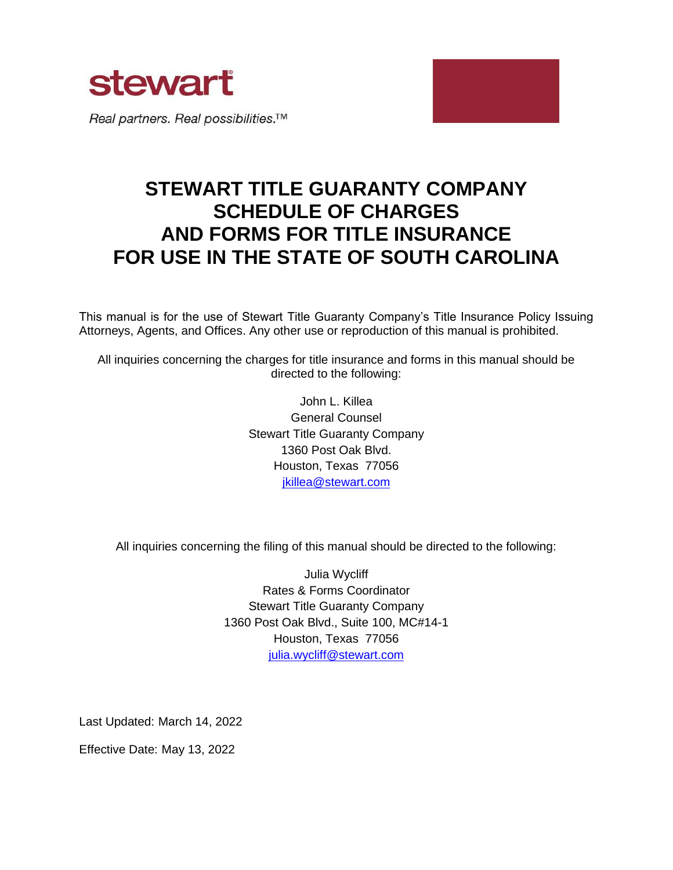

# **STEWART TITLE GUARANTY COMPANY SCHEDULE OF CHARGES AND FORMS FOR TITLE INSURANCE FOR USE IN THE STATE OF SOUTH CAROLINA**

This manual is for the use of Stewart Title Guaranty Company's Title Insurance Policy Issuing Attorneys, Agents, and Offices. Any other use or reproduction of this manual is prohibited.

All inquiries concerning the charges for title insurance and forms in this manual should be directed to the following:

> John L. Killea General Counsel Stewart Title Guaranty Company 1360 Post Oak Blvd. Houston, Texas 77056 [jkillea@stewart.com](mailto:jkillea@stewart.com)

All inquiries concerning the filing of this manual should be directed to the following:

Julia Wycliff Rates & Forms Coordinator Stewart Title Guaranty Company 1360 Post Oak Blvd., Suite 100, MC#14-1 Houston, Texas 77056 julia.wycliff@stewart.com

Last Updated: March 14, 2022

Effective Date: May 13, 2022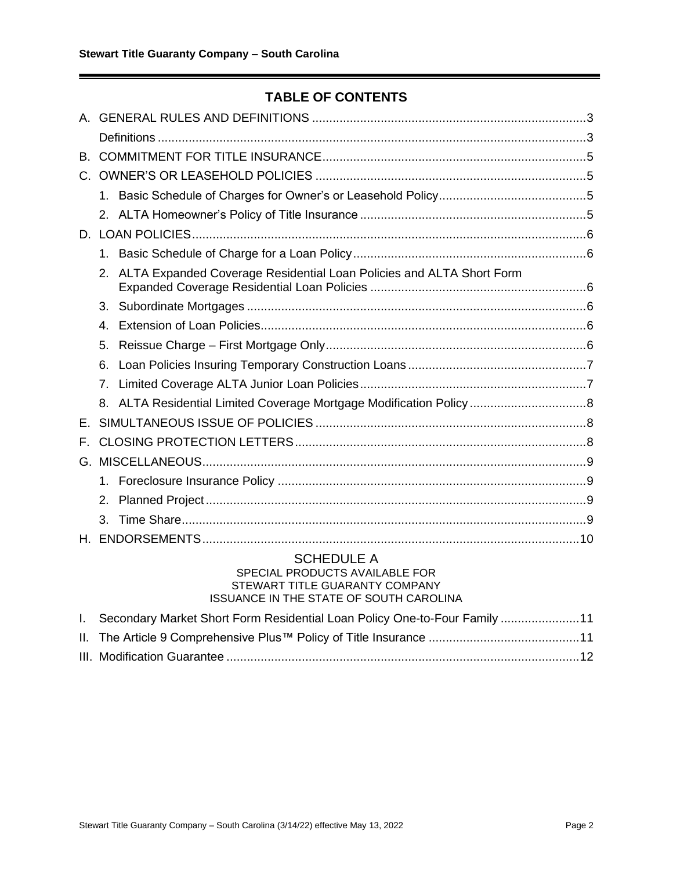# **TABLE OF CONTENTS**

| B. |                   |                                                                      |  |  |
|----|-------------------|----------------------------------------------------------------------|--|--|
| C. |                   |                                                                      |  |  |
|    |                   |                                                                      |  |  |
|    |                   |                                                                      |  |  |
|    |                   |                                                                      |  |  |
|    | 1.                |                                                                      |  |  |
|    | 2.                | ALTA Expanded Coverage Residential Loan Policies and ALTA Short Form |  |  |
|    | 3.                |                                                                      |  |  |
|    | 4.                |                                                                      |  |  |
|    | 5.                |                                                                      |  |  |
|    | 6.                |                                                                      |  |  |
|    | 7 <sub>1</sub>    |                                                                      |  |  |
|    | 8.                |                                                                      |  |  |
| E. |                   |                                                                      |  |  |
| Е. |                   |                                                                      |  |  |
|    |                   |                                                                      |  |  |
|    |                   |                                                                      |  |  |
|    | 2.                |                                                                      |  |  |
|    | 3.                |                                                                      |  |  |
| Н. |                   |                                                                      |  |  |
|    | <b>SCHEDULE A</b> |                                                                      |  |  |

#### SPECIAL PRODUCTS AVAILABLE FOR STEWART TITLE GUARANTY COMPANY ISSUANCE IN THE STATE OF SOUTH CAROLINA

| 11 Secondary Market Short Form Residential Loan Policy One-to-Four Family 11 |  |
|------------------------------------------------------------------------------|--|
|                                                                              |  |
|                                                                              |  |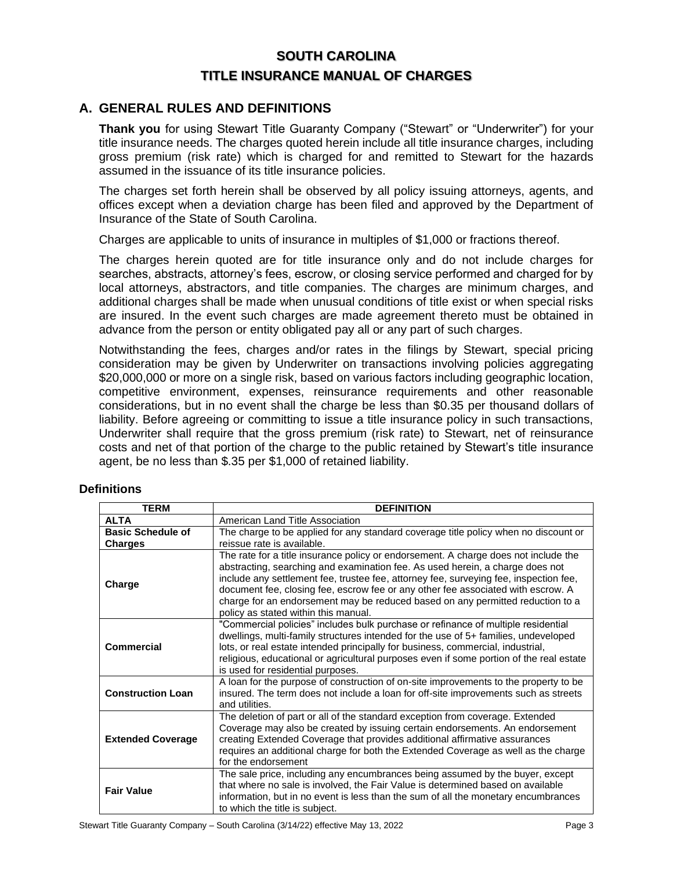# **SOUTH CAROLINA TITLE INSURANCE MANUAL OF CHARGES**

# <span id="page-2-0"></span>**A. GENERAL RULES AND DEFINITIONS**

**Thank you** for using Stewart Title Guaranty Company ("Stewart" or "Underwriter") for your title insurance needs. The charges quoted herein include all title insurance charges, including gross premium (risk rate) which is charged for and remitted to Stewart for the hazards assumed in the issuance of its title insurance policies.

The charges set forth herein shall be observed by all policy issuing attorneys, agents, and offices except when a deviation charge has been filed and approved by the Department of Insurance of the State of South Carolina.

Charges are applicable to units of insurance in multiples of \$1,000 or fractions thereof.

The charges herein quoted are for title insurance only and do not include charges for searches, abstracts, attorney's fees, escrow, or closing service performed and charged for by local attorneys, abstractors, and title companies. The charges are minimum charges, and additional charges shall be made when unusual conditions of title exist or when special risks are insured. In the event such charges are made agreement thereto must be obtained in advance from the person or entity obligated pay all or any part of such charges.

Notwithstanding the fees, charges and/or rates in the filings by Stewart, special pricing consideration may be given by Underwriter on transactions involving policies aggregating \$20,000,000 or more on a single risk, based on various factors including geographic location, competitive environment, expenses, reinsurance requirements and other reasonable considerations, but in no event shall the charge be less than \$0.35 per thousand dollars of liability. Before agreeing or committing to issue a title insurance policy in such transactions, Underwriter shall require that the gross premium (risk rate) to Stewart, net of reinsurance costs and net of that portion of the charge to the public retained by Stewart's title insurance agent, be no less than \$.35 per \$1,000 of retained liability.

| <b>TERM</b>                                | <b>DEFINITION</b>                                                                                                                                                                                                                                                                                                                                                                                                                                                           |  |  |
|--------------------------------------------|-----------------------------------------------------------------------------------------------------------------------------------------------------------------------------------------------------------------------------------------------------------------------------------------------------------------------------------------------------------------------------------------------------------------------------------------------------------------------------|--|--|
| <b>ALTA</b>                                | American Land Title Association                                                                                                                                                                                                                                                                                                                                                                                                                                             |  |  |
| <b>Basic Schedule of</b><br><b>Charges</b> | The charge to be applied for any standard coverage title policy when no discount or<br>reissue rate is available.                                                                                                                                                                                                                                                                                                                                                           |  |  |
| Charge                                     | The rate for a title insurance policy or endorsement. A charge does not include the<br>abstracting, searching and examination fee. As used herein, a charge does not<br>include any settlement fee, trustee fee, attorney fee, surveying fee, inspection fee,<br>document fee, closing fee, escrow fee or any other fee associated with escrow. A<br>charge for an endorsement may be reduced based on any permitted reduction to a<br>policy as stated within this manual. |  |  |
| <b>Commercial</b>                          | "Commercial policies" includes bulk purchase or refinance of multiple residential<br>dwellings, multi-family structures intended for the use of 5+ families, undeveloped<br>lots, or real estate intended principally for business, commercial, industrial,<br>religious, educational or agricultural purposes even if some portion of the real estate<br>is used for residential purposes.                                                                                 |  |  |
| <b>Construction Loan</b>                   | A loan for the purpose of construction of on-site improvements to the property to be<br>insured. The term does not include a loan for off-site improvements such as streets<br>and utilities.                                                                                                                                                                                                                                                                               |  |  |
| <b>Extended Coverage</b>                   | The deletion of part or all of the standard exception from coverage. Extended<br>Coverage may also be created by issuing certain endorsements. An endorsement<br>creating Extended Coverage that provides additional affirmative assurances<br>requires an additional charge for both the Extended Coverage as well as the charge<br>for the endorsement                                                                                                                    |  |  |
| <b>Fair Value</b>                          | The sale price, including any encumbrances being assumed by the buyer, except<br>that where no sale is involved, the Fair Value is determined based on available<br>information, but in no event is less than the sum of all the monetary encumbrances<br>to which the title is subject.                                                                                                                                                                                    |  |  |

#### <span id="page-2-1"></span>**Definitions**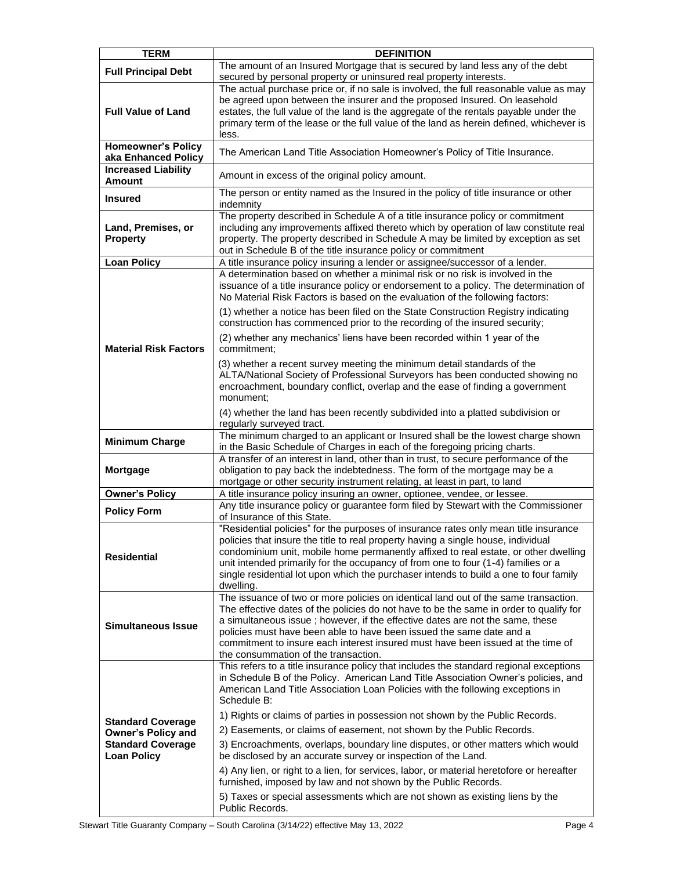| <b>TERM</b>                                                                                             | <b>DEFINITION</b>                                                                                                                                                                                                                                                                                                                                                                                                                                                                                                                                                                                                                                                                                                                                                                                                                                              |
|---------------------------------------------------------------------------------------------------------|----------------------------------------------------------------------------------------------------------------------------------------------------------------------------------------------------------------------------------------------------------------------------------------------------------------------------------------------------------------------------------------------------------------------------------------------------------------------------------------------------------------------------------------------------------------------------------------------------------------------------------------------------------------------------------------------------------------------------------------------------------------------------------------------------------------------------------------------------------------|
| <b>Full Principal Debt</b>                                                                              | The amount of an Insured Mortgage that is secured by land less any of the debt<br>secured by personal property or uninsured real property interests.                                                                                                                                                                                                                                                                                                                                                                                                                                                                                                                                                                                                                                                                                                           |
| <b>Full Value of Land</b>                                                                               | The actual purchase price or, if no sale is involved, the full reasonable value as may<br>be agreed upon between the insurer and the proposed Insured. On leasehold<br>estates, the full value of the land is the aggregate of the rentals payable under the<br>primary term of the lease or the full value of the land as herein defined, whichever is<br>less.                                                                                                                                                                                                                                                                                                                                                                                                                                                                                               |
| <b>Homeowner's Policy</b><br>aka Enhanced Policy                                                        | The American Land Title Association Homeowner's Policy of Title Insurance.                                                                                                                                                                                                                                                                                                                                                                                                                                                                                                                                                                                                                                                                                                                                                                                     |
| <b>Increased Liability</b><br><b>Amount</b>                                                             | Amount in excess of the original policy amount.                                                                                                                                                                                                                                                                                                                                                                                                                                                                                                                                                                                                                                                                                                                                                                                                                |
| <b>Insured</b>                                                                                          | The person or entity named as the Insured in the policy of title insurance or other<br>indemnity                                                                                                                                                                                                                                                                                                                                                                                                                                                                                                                                                                                                                                                                                                                                                               |
| Land, Premises, or<br><b>Property</b>                                                                   | The property described in Schedule A of a title insurance policy or commitment<br>including any improvements affixed thereto which by operation of law constitute real<br>property. The property described in Schedule A may be limited by exception as set<br>out in Schedule B of the title insurance policy or commitment                                                                                                                                                                                                                                                                                                                                                                                                                                                                                                                                   |
| <b>Loan Policy</b>                                                                                      | A title insurance policy insuring a lender or assignee/successor of a lender.                                                                                                                                                                                                                                                                                                                                                                                                                                                                                                                                                                                                                                                                                                                                                                                  |
|                                                                                                         | A determination based on whether a minimal risk or no risk is involved in the<br>issuance of a title insurance policy or endorsement to a policy. The determination of<br>No Material Risk Factors is based on the evaluation of the following factors:<br>(1) whether a notice has been filed on the State Construction Registry indicating<br>construction has commenced prior to the recording of the insured security;                                                                                                                                                                                                                                                                                                                                                                                                                                     |
| <b>Material Risk Factors</b>                                                                            | (2) whether any mechanics' liens have been recorded within 1 year of the<br>commitment;                                                                                                                                                                                                                                                                                                                                                                                                                                                                                                                                                                                                                                                                                                                                                                        |
|                                                                                                         | (3) whether a recent survey meeting the minimum detail standards of the<br>ALTA/National Society of Professional Surveyors has been conducted showing no<br>encroachment, boundary conflict, overlap and the ease of finding a government<br>monument:                                                                                                                                                                                                                                                                                                                                                                                                                                                                                                                                                                                                         |
|                                                                                                         | (4) whether the land has been recently subdivided into a platted subdivision or<br>regularly surveyed tract.                                                                                                                                                                                                                                                                                                                                                                                                                                                                                                                                                                                                                                                                                                                                                   |
| <b>Minimum Charge</b>                                                                                   | The minimum charged to an applicant or Insured shall be the lowest charge shown<br>in the Basic Schedule of Charges in each of the foregoing pricing charts.                                                                                                                                                                                                                                                                                                                                                                                                                                                                                                                                                                                                                                                                                                   |
| Mortgage                                                                                                | A transfer of an interest in land, other than in trust, to secure performance of the<br>obligation to pay back the indebtedness. The form of the mortgage may be a<br>mortgage or other security instrument relating, at least in part, to land                                                                                                                                                                                                                                                                                                                                                                                                                                                                                                                                                                                                                |
| <b>Owner's Policy</b>                                                                                   | A title insurance policy insuring an owner, optionee, vendee, or lessee.                                                                                                                                                                                                                                                                                                                                                                                                                                                                                                                                                                                                                                                                                                                                                                                       |
| <b>Policy Form</b>                                                                                      | Any title insurance policy or guarantee form filed by Stewart with the Commissioner<br>of Insurance of this State.                                                                                                                                                                                                                                                                                                                                                                                                                                                                                                                                                                                                                                                                                                                                             |
| <b>Residential</b>                                                                                      | "Residential policies" for the purposes of insurance rates only mean title insurance<br>policies that insure the title to real property having a single house, individual<br>condominium unit, mobile home permanently affixed to real estate, or other dwelling<br>unit intended primarily for the occupancy of from one to four (1-4) families or a<br>single residential lot upon which the purchaser intends to build a one to four family<br>dwelling.                                                                                                                                                                                                                                                                                                                                                                                                    |
| <b>Simultaneous Issue</b>                                                                               | The issuance of two or more policies on identical land out of the same transaction.<br>The effective dates of the policies do not have to be the same in order to qualify for<br>a simultaneous issue ; however, if the effective dates are not the same, these<br>policies must have been able to have been issued the same date and a<br>commitment to insure each interest insured must have been issued at the time of<br>the consummation of the transaction.                                                                                                                                                                                                                                                                                                                                                                                             |
| <b>Standard Coverage</b><br><b>Owner's Policy and</b><br><b>Standard Coverage</b><br><b>Loan Policy</b> | This refers to a title insurance policy that includes the standard regional exceptions<br>in Schedule B of the Policy. American Land Title Association Owner's policies, and<br>American Land Title Association Loan Policies with the following exceptions in<br>Schedule B:<br>1) Rights or claims of parties in possession not shown by the Public Records.<br>2) Easements, or claims of easement, not shown by the Public Records.<br>3) Encroachments, overlaps, boundary line disputes, or other matters which would<br>be disclosed by an accurate survey or inspection of the Land.<br>4) Any lien, or right to a lien, for services, labor, or material heretofore or hereafter<br>furnished, imposed by law and not shown by the Public Records.<br>5) Taxes or special assessments which are not shown as existing liens by the<br>Public Records. |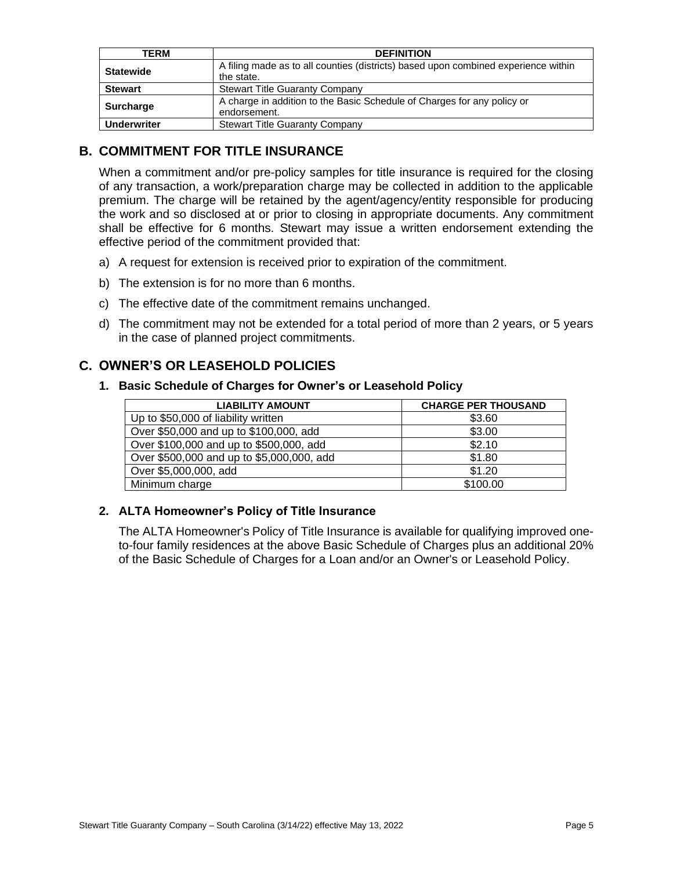| <b>TERM</b>        | <b>DEFINITION</b>                                                                  |
|--------------------|------------------------------------------------------------------------------------|
| <b>Statewide</b>   | A filing made as to all counties (districts) based upon combined experience within |
|                    | the state.                                                                         |
| <b>Stewart</b>     | <b>Stewart Title Guaranty Company</b>                                              |
|                    | A charge in addition to the Basic Schedule of Charges for any policy or            |
| <b>Surcharge</b>   | endorsement.                                                                       |
| <b>Underwriter</b> | <b>Stewart Title Guaranty Company</b>                                              |

### <span id="page-4-0"></span>**B. COMMITMENT FOR TITLE INSURANCE**

When a commitment and/or pre-policy samples for title insurance is required for the closing of any transaction, a work/preparation charge may be collected in addition to the applicable premium. The charge will be retained by the agent/agency/entity responsible for producing the work and so disclosed at or prior to closing in appropriate documents. Any commitment shall be effective for 6 months. Stewart may issue a written endorsement extending the effective period of the commitment provided that:

- a) A request for extension is received prior to expiration of the commitment.
- b) The extension is for no more than 6 months.
- c) The effective date of the commitment remains unchanged.
- d) The commitment may not be extended for a total period of more than 2 years, or 5 years in the case of planned project commitments.

### <span id="page-4-1"></span>**C. OWNER'S OR LEASEHOLD POLICIES**

#### <span id="page-4-2"></span>**1. Basic Schedule of Charges for Owner's or Leasehold Policy**

| <b>LIABILITY AMOUNT</b>                   | <b>CHARGE PER THOUSAND</b> |
|-------------------------------------------|----------------------------|
| Up to \$50,000 of liability written       | \$3.60                     |
| Over \$50,000 and up to \$100,000, add    | \$3.00                     |
| Over \$100,000 and up to \$500,000, add   | \$2.10                     |
| Over \$500,000 and up to \$5,000,000, add | \$1.80                     |
| Over \$5,000,000, add                     | \$1.20                     |
| Minimum charge                            | \$100.00                   |

#### <span id="page-4-3"></span>**2. ALTA Homeowner's Policy of Title Insurance**

The ALTA Homeowner's Policy of Title Insurance is available for qualifying improved oneto-four family residences at the above Basic Schedule of Charges plus an additional 20% of the Basic Schedule of Charges for a Loan and/or an Owner's or Leasehold Policy.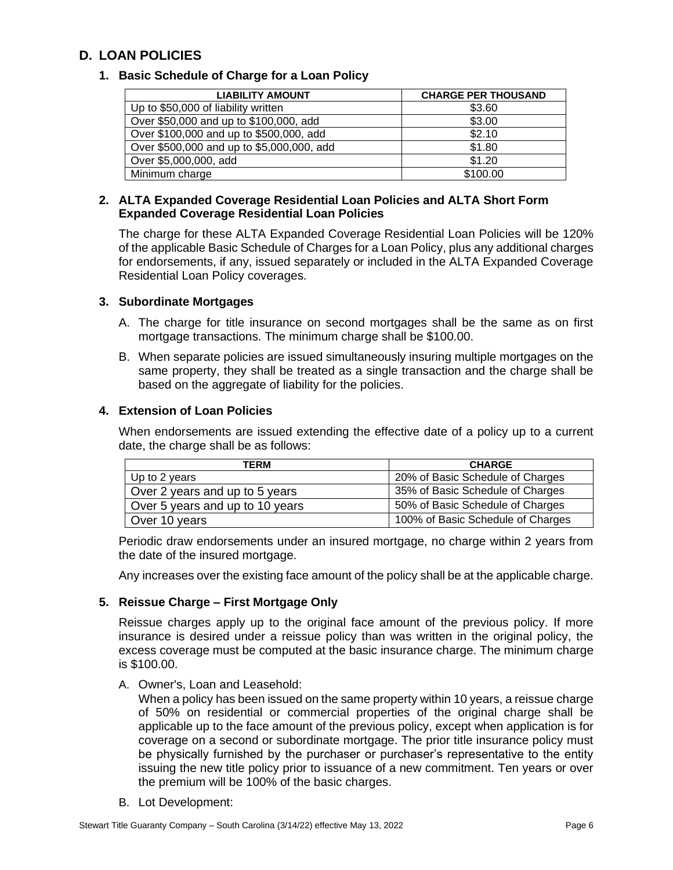# <span id="page-5-0"></span>**D. LOAN POLICIES**

#### <span id="page-5-1"></span>**1. Basic Schedule of Charge for a Loan Policy**

| <b>LIABILITY AMOUNT</b>                   | <b>CHARGE PER THOUSAND</b> |
|-------------------------------------------|----------------------------|
| Up to \$50,000 of liability written       | \$3.60                     |
| Over \$50,000 and up to \$100,000, add    | \$3.00                     |
| Over \$100,000 and up to \$500,000, add   | \$2.10                     |
| Over \$500,000 and up to \$5,000,000, add | \$1.80                     |
| Over \$5,000,000, add                     | \$1.20                     |
| Minimum charge                            | \$100.00                   |

#### <span id="page-5-2"></span>**2. ALTA Expanded Coverage Residential Loan Policies and ALTA Short Form Expanded Coverage Residential Loan Policies**

The charge for these ALTA Expanded Coverage Residential Loan Policies will be 120% of the applicable Basic Schedule of Charges for a Loan Policy, plus any additional charges for endorsements, if any, issued separately or included in the ALTA Expanded Coverage Residential Loan Policy coverages.

#### <span id="page-5-3"></span>**3. Subordinate Mortgages**

- A. The charge for title insurance on second mortgages shall be the same as on first mortgage transactions. The minimum charge shall be \$100.00.
- B. When separate policies are issued simultaneously insuring multiple mortgages on the same property, they shall be treated as a single transaction and the charge shall be based on the aggregate of liability for the policies.

#### <span id="page-5-4"></span>**4. Extension of Loan Policies**

When endorsements are issued extending the effective date of a policy up to a current date, the charge shall be as follows:

| TERM                            | <b>CHARGE</b>                     |
|---------------------------------|-----------------------------------|
| Up to 2 years                   | 20% of Basic Schedule of Charges  |
| Over 2 years and up to 5 years  | 35% of Basic Schedule of Charges  |
| Over 5 years and up to 10 years | 50% of Basic Schedule of Charges  |
| Over 10 years                   | 100% of Basic Schedule of Charges |

Periodic draw endorsements under an insured mortgage, no charge within 2 years from the date of the insured mortgage.

Any increases over the existing face amount of the policy shall be at the applicable charge.

#### <span id="page-5-5"></span>**5. Reissue Charge – First Mortgage Only**

Reissue charges apply up to the original face amount of the previous policy. If more insurance is desired under a reissue policy than was written in the original policy, the excess coverage must be computed at the basic insurance charge. The minimum charge is \$100.00.

A. Owner's, Loan and Leasehold:

When a policy has been issued on the same property within 10 years, a reissue charge of 50% on residential or commercial properties of the original charge shall be applicable up to the face amount of the previous policy, except when application is for coverage on a second or subordinate mortgage. The prior title insurance policy must be physically furnished by the purchaser or purchaser's representative to the entity issuing the new title policy prior to issuance of a new commitment. Ten years or over the premium will be 100% of the basic charges.

B. Lot Development: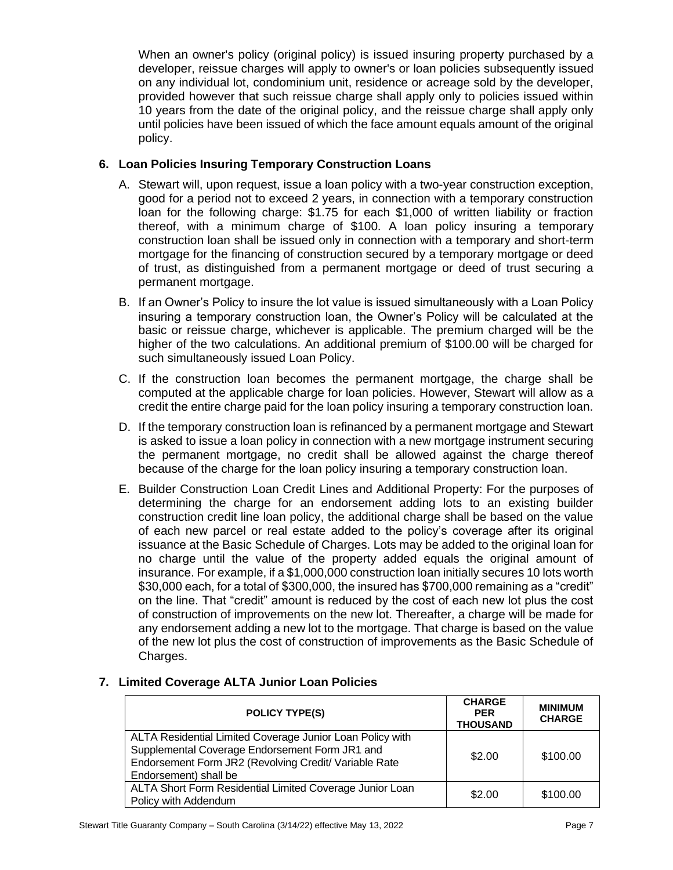When an owner's policy (original policy) is issued insuring property purchased by a developer, reissue charges will apply to owner's or loan policies subsequently issued on any individual lot, condominium unit, residence or acreage sold by the developer, provided however that such reissue charge shall apply only to policies issued within 10 years from the date of the original policy, and the reissue charge shall apply only until policies have been issued of which the face amount equals amount of the original policy.

#### <span id="page-6-0"></span>**6. Loan Policies Insuring Temporary Construction Loans**

- A. Stewart will, upon request, issue a loan policy with a two-year construction exception, good for a period not to exceed 2 years, in connection with a temporary construction loan for the following charge: \$1.75 for each \$1,000 of written liability or fraction thereof, with a minimum charge of \$100. A loan policy insuring a temporary construction loan shall be issued only in connection with a temporary and short-term mortgage for the financing of construction secured by a temporary mortgage or deed of trust, as distinguished from a permanent mortgage or deed of trust securing a permanent mortgage.
- B. If an Owner's Policy to insure the lot value is issued simultaneously with a Loan Policy insuring a temporary construction loan, the Owner's Policy will be calculated at the basic or reissue charge, whichever is applicable. The premium charged will be the higher of the two calculations. An additional premium of \$100.00 will be charged for such simultaneously issued Loan Policy.
- C. If the construction loan becomes the permanent mortgage, the charge shall be computed at the applicable charge for loan policies. However, Stewart will allow as a credit the entire charge paid for the loan policy insuring a temporary construction loan.
- D. If the temporary construction loan is refinanced by a permanent mortgage and Stewart is asked to issue a loan policy in connection with a new mortgage instrument securing the permanent mortgage, no credit shall be allowed against the charge thereof because of the charge for the loan policy insuring a temporary construction loan.
- E. Builder Construction Loan Credit Lines and Additional Property: For the purposes of determining the charge for an endorsement adding lots to an existing builder construction credit line loan policy, the additional charge shall be based on the value of each new parcel or real estate added to the policy's coverage after its original issuance at the Basic Schedule of Charges. Lots may be added to the original loan for no charge until the value of the property added equals the original amount of insurance. For example, if a \$1,000,000 construction loan initially secures 10 lots worth \$30,000 each, for a total of \$300,000, the insured has \$700,000 remaining as a "credit" on the line. That "credit" amount is reduced by the cost of each new lot plus the cost of construction of improvements on the new lot. Thereafter, a charge will be made for any endorsement adding a new lot to the mortgage. That charge is based on the value of the new lot plus the cost of construction of improvements as the Basic Schedule of Charges.

#### **POLICY TYPE(S) CHARGE PER THOUSAND MINIMUM CHARGE** ALTA Residential Limited Coverage Junior Loan Policy with Supplemental Coverage Endorsement Form JR1 and Endorsement Form JR2 (Revolving Credit/ Variable Rate Endorsement) shall be  $$2.00$  | \$100.00 ALTA Short Form Residential Limited Coverage Junior Loan  $$2.00$  \$100.00

#### <span id="page-6-1"></span>**7. Limited Coverage ALTA Junior Loan Policies**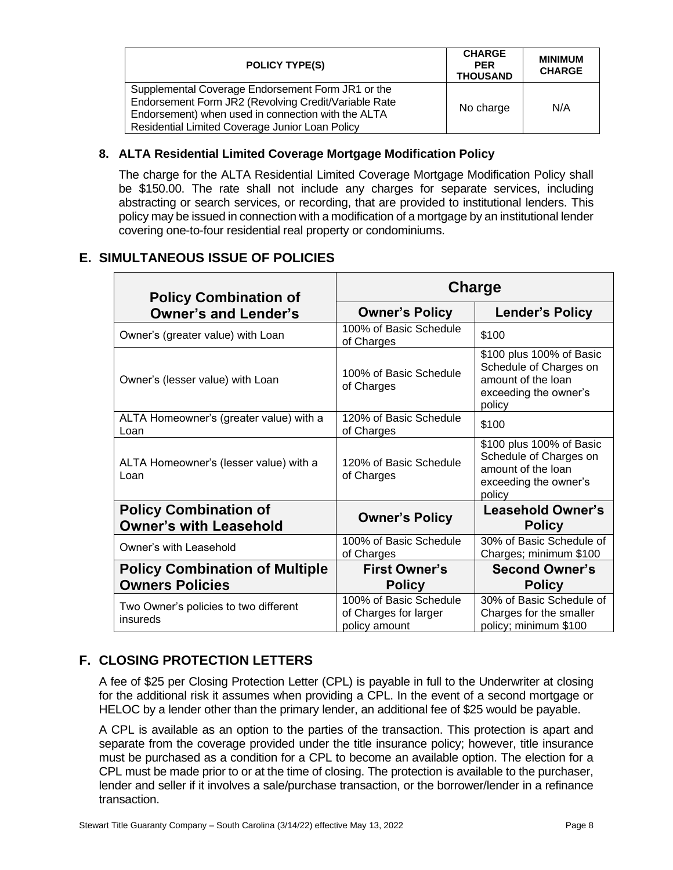| <b>POLICY TYPE(S)</b>                                                                                                                                                                                              | <b>CHARGE</b><br><b>PER</b><br><b>THOUSAND</b> | <b>MINIMUM</b><br><b>CHARGE</b> |
|--------------------------------------------------------------------------------------------------------------------------------------------------------------------------------------------------------------------|------------------------------------------------|---------------------------------|
| Supplemental Coverage Endorsement Form JR1 or the<br>Endorsement Form JR2 (Revolving Credit/Variable Rate<br>Endorsement) when used in connection with the ALTA<br>Residential Limited Coverage Junior Loan Policy | No charge                                      | N/A                             |

#### <span id="page-7-0"></span>**8. ALTA Residential Limited Coverage Mortgage Modification Policy**

The charge for the ALTA Residential Limited Coverage Mortgage Modification Policy shall be \$150.00. The rate shall not include any charges for separate services, including abstracting or search services, or recording, that are provided to institutional lenders. This policy may be issued in connection with a modification of a mortgage by an institutional lender covering one-to-four residential real property or condominiums.

# <span id="page-7-1"></span>**E. SIMULTANEOUS ISSUE OF POLICIES**

| <b>Policy Combination of</b>                                  | Charge                                                           |                                                                                                             |  |
|---------------------------------------------------------------|------------------------------------------------------------------|-------------------------------------------------------------------------------------------------------------|--|
| <b>Owner's and Lender's</b>                                   | <b>Owner's Policy</b>                                            | <b>Lender's Policy</b>                                                                                      |  |
| Owner's (greater value) with Loan                             | 100% of Basic Schedule<br>of Charges                             | \$100                                                                                                       |  |
| Owner's (lesser value) with Loan                              | 100% of Basic Schedule<br>of Charges                             | \$100 plus 100% of Basic<br>Schedule of Charges on<br>amount of the loan<br>exceeding the owner's<br>policy |  |
| ALTA Homeowner's (greater value) with a<br>Loan               | 120% of Basic Schedule<br>of Charges                             | \$100                                                                                                       |  |
| ALTA Homeowner's (lesser value) with a<br>Loan                | 120% of Basic Schedule<br>of Charges                             | \$100 plus 100% of Basic<br>Schedule of Charges on<br>amount of the loan<br>exceeding the owner's<br>policy |  |
| <b>Policy Combination of</b><br><b>Owner's with Leasehold</b> | <b>Owner's Policy</b>                                            | <b>Leasehold Owner's</b><br><b>Policy</b>                                                                   |  |
| Owner's with Leasehold                                        | 100% of Basic Schedule<br>of Charges                             | 30% of Basic Schedule of<br>Charges; minimum \$100                                                          |  |
| <b>Policy Combination of Multiple</b>                         | <b>First Owner's</b>                                             | <b>Second Owner's</b>                                                                                       |  |
| <b>Owners Policies</b>                                        | <b>Policy</b>                                                    | <b>Policy</b>                                                                                               |  |
| Two Owner's policies to two different<br>insureds             | 100% of Basic Schedule<br>of Charges for larger<br>policy amount | 30% of Basic Schedule of<br>Charges for the smaller<br>policy; minimum \$100                                |  |

# <span id="page-7-2"></span>**F. CLOSING PROTECTION LETTERS**

A fee of \$25 per Closing Protection Letter (CPL) is payable in full to the Underwriter at closing for the additional risk it assumes when providing a CPL. In the event of a second mortgage or HELOC by a lender other than the primary lender, an additional fee of \$25 would be payable.

A CPL is available as an option to the parties of the transaction. This protection is apart and separate from the coverage provided under the title insurance policy; however, title insurance must be purchased as a condition for a CPL to become an available option. The election for a CPL must be made prior to or at the time of closing. The protection is available to the purchaser, lender and seller if it involves a sale/purchase transaction, or the borrower/lender in a refinance transaction.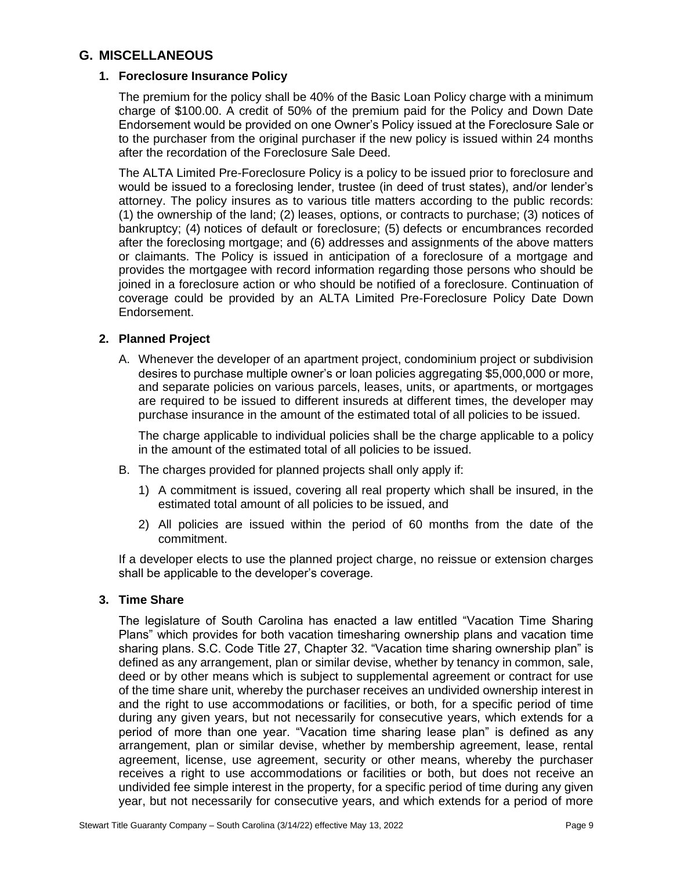#### <span id="page-8-0"></span>**G. MISCELLANEOUS**

#### <span id="page-8-1"></span>**1. Foreclosure Insurance Policy**

The premium for the policy shall be 40% of the Basic Loan Policy charge with a minimum charge of \$100.00. A credit of 50% of the premium paid for the Policy and Down Date Endorsement would be provided on one Owner's Policy issued at the Foreclosure Sale or to the purchaser from the original purchaser if the new policy is issued within 24 months after the recordation of the Foreclosure Sale Deed.

The ALTA Limited Pre-Foreclosure Policy is a policy to be issued prior to foreclosure and would be issued to a foreclosing lender, trustee (in deed of trust states), and/or lender's attorney. The policy insures as to various title matters according to the public records: (1) the ownership of the land; (2) leases, options, or contracts to purchase; (3) notices of bankruptcy; (4) notices of default or foreclosure; (5) defects or encumbrances recorded after the foreclosing mortgage; and (6) addresses and assignments of the above matters or claimants. The Policy is issued in anticipation of a foreclosure of a mortgage and provides the mortgagee with record information regarding those persons who should be joined in a foreclosure action or who should be notified of a foreclosure. Continuation of coverage could be provided by an ALTA Limited Pre-Foreclosure Policy Date Down Endorsement.

#### <span id="page-8-2"></span>**2. Planned Project**

A. Whenever the developer of an apartment project, condominium project or subdivision desires to purchase multiple owner's or loan policies aggregating \$5,000,000 or more, and separate policies on various parcels, leases, units, or apartments, or mortgages are required to be issued to different insureds at different times, the developer may purchase insurance in the amount of the estimated total of all policies to be issued.

The charge applicable to individual policies shall be the charge applicable to a policy in the amount of the estimated total of all policies to be issued.

- B. The charges provided for planned projects shall only apply if:
	- 1) A commitment is issued, covering all real property which shall be insured, in the estimated total amount of all policies to be issued, and
	- 2) All policies are issued within the period of 60 months from the date of the commitment.

If a developer elects to use the planned project charge, no reissue or extension charges shall be applicable to the developer's coverage.

#### <span id="page-8-3"></span>**3. Time Share**

The legislature of South Carolina has enacted a law entitled "Vacation Time Sharing Plans" which provides for both vacation timesharing ownership plans and vacation time sharing plans. S.C. Code Title 27, Chapter 32. "Vacation time sharing ownership plan" is defined as any arrangement, plan or similar devise, whether by tenancy in common, sale, deed or by other means which is subject to supplemental agreement or contract for use of the time share unit, whereby the purchaser receives an undivided ownership interest in and the right to use accommodations or facilities, or both, for a specific period of time during any given years, but not necessarily for consecutive years, which extends for a period of more than one year. "Vacation time sharing lease plan" is defined as any arrangement, plan or similar devise, whether by membership agreement, lease, rental agreement, license, use agreement, security or other means, whereby the purchaser receives a right to use accommodations or facilities or both, but does not receive an undivided fee simple interest in the property, for a specific period of time during any given year, but not necessarily for consecutive years, and which extends for a period of more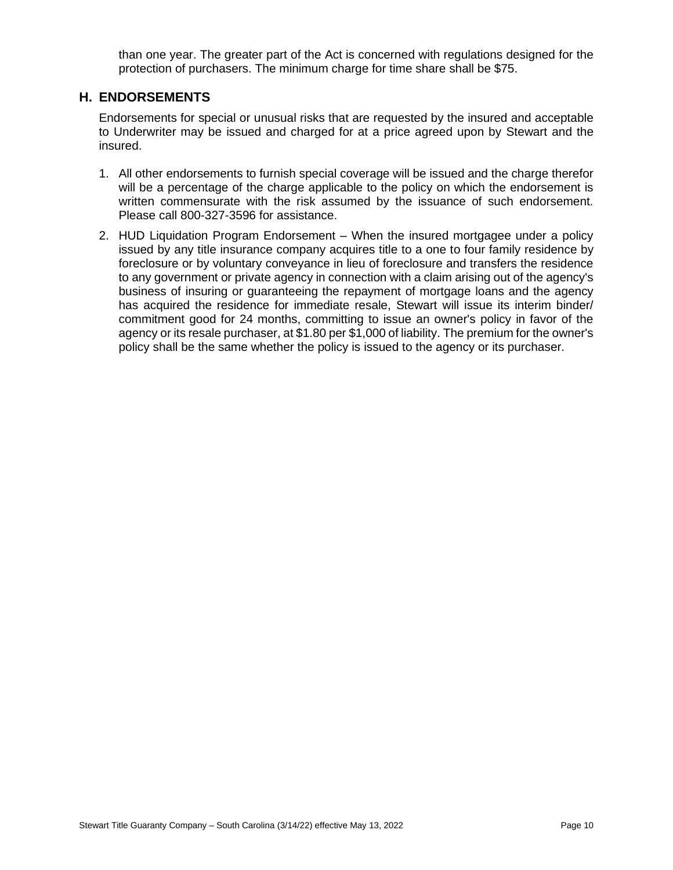than one year. The greater part of the Act is concerned with regulations designed for the protection of purchasers. The minimum charge for time share shall be \$75.

#### <span id="page-9-0"></span>**H. ENDORSEMENTS**

Endorsements for special or unusual risks that are requested by the insured and acceptable to Underwriter may be issued and charged for at a price agreed upon by Stewart and the insured.

- 1. All other endorsements to furnish special coverage will be issued and the charge therefor will be a percentage of the charge applicable to the policy on which the endorsement is written commensurate with the risk assumed by the issuance of such endorsement. Please call 800-327-3596 for assistance.
- 2. HUD Liquidation Program Endorsement When the insured mortgagee under a policy issued by any title insurance company acquires title to a one to four family residence by foreclosure or by voluntary conveyance in lieu of foreclosure and transfers the residence to any government or private agency in connection with a claim arising out of the agency's business of insuring or guaranteeing the repayment of mortgage loans and the agency has acquired the residence for immediate resale, Stewart will issue its interim binder/ commitment good for 24 months, committing to issue an owner's policy in favor of the agency or its resale purchaser, at \$1.80 per \$1,000 of liability. The premium for the owner's policy shall be the same whether the policy is issued to the agency or its purchaser.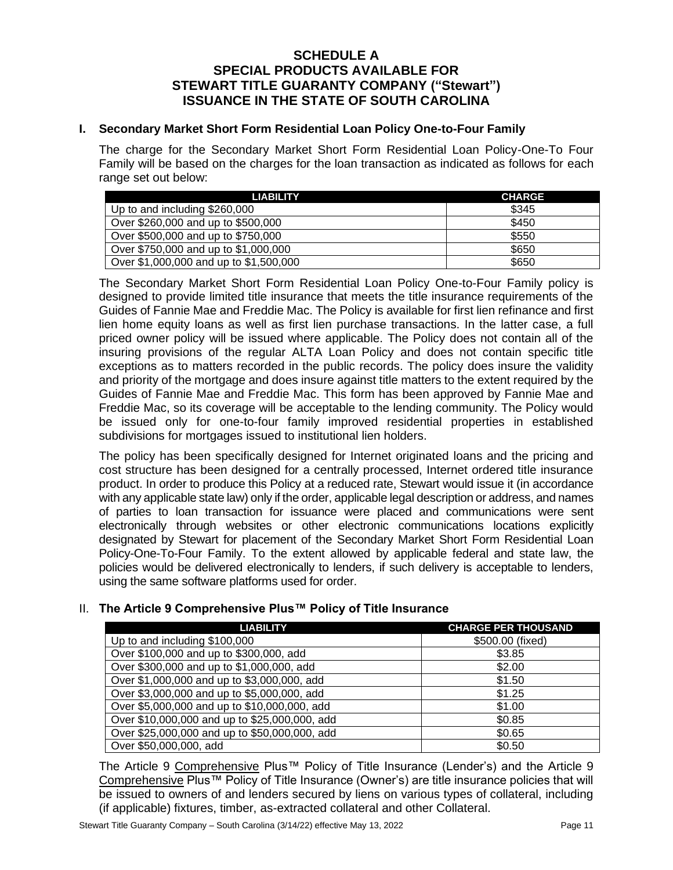#### **SCHEDULE A SPECIAL PRODUCTS AVAILABLE FOR STEWART TITLE GUARANTY COMPANY ("Stewart") ISSUANCE IN THE STATE OF SOUTH CAROLINA**

#### <span id="page-10-0"></span>**I. Secondary Market Short Form Residential Loan Policy One-to-Four Family**

The charge for the Secondary Market Short Form Residential Loan Policy-One-To Four Family will be based on the charges for the loan transaction as indicated as follows for each range set out below:

| <b>LIABILITY</b>                       | <b>CHARGE</b> |
|----------------------------------------|---------------|
| Up to and including \$260,000          | \$345         |
| Over \$260,000 and up to \$500,000     | \$450         |
| Over \$500,000 and up to \$750,000     | \$550         |
| Over \$750,000 and up to \$1,000,000   | \$650         |
| Over \$1,000,000 and up to \$1,500,000 | \$650         |

The Secondary Market Short Form Residential Loan Policy One-to-Four Family policy is designed to provide limited title insurance that meets the title insurance requirements of the Guides of Fannie Mae and Freddie Mac. The Policy is available for first lien refinance and first lien home equity loans as well as first lien purchase transactions. In the latter case, a full priced owner policy will be issued where applicable. The Policy does not contain all of the insuring provisions of the regular ALTA Loan Policy and does not contain specific title exceptions as to matters recorded in the public records. The policy does insure the validity and priority of the mortgage and does insure against title matters to the extent required by the Guides of Fannie Mae and Freddie Mac. This form has been approved by Fannie Mae and Freddie Mac, so its coverage will be acceptable to the lending community. The Policy would be issued only for one-to-four family improved residential properties in established subdivisions for mortgages issued to institutional lien holders.

The policy has been specifically designed for Internet originated loans and the pricing and cost structure has been designed for a centrally processed, Internet ordered title insurance product. In order to produce this Policy at a reduced rate, Stewart would issue it (in accordance with any applicable state law) only if the order, applicable legal description or address, and names of parties to loan transaction for issuance were placed and communications were sent electronically through websites or other electronic communications locations explicitly designated by Stewart for placement of the Secondary Market Short Form Residential Loan Policy-One-To-Four Family. To the extent allowed by applicable federal and state law, the policies would be delivered electronically to lenders, if such delivery is acceptable to lenders, using the same software platforms used for order.

#### <span id="page-10-2"></span><span id="page-10-1"></span>II. **The Article 9 Comprehensive Plus™ Policy of Title Insurance**

| <b>LIABILITY</b>                              | <b>CHARGE PER THOUSAND</b> |
|-----------------------------------------------|----------------------------|
| Up to and including \$100,000                 | \$500.00 (fixed)           |
| Over \$100,000 and up to \$300,000, add       | \$3.85                     |
| Over \$300,000 and up to \$1,000,000, add     | \$2.00                     |
| Over \$1,000,000 and up to \$3,000,000, add   | \$1.50                     |
| Over \$3,000,000 and up to \$5,000,000, add   | \$1.25                     |
| Over \$5,000,000 and up to \$10,000,000, add  | \$1.00                     |
| Over \$10,000,000 and up to \$25,000,000, add | \$0.85                     |
| Over \$25,000,000 and up to \$50,000,000, add | \$0.65                     |
| Over \$50,000,000, add                        | \$0.50                     |

The Article 9 Comprehensive Plus™ Policy of Title Insurance (Lender's) and the Article 9 Comprehensive Plus™ Policy of Title Insurance (Owner's) are title insurance policies that will be issued to owners of and lenders secured by liens on various types of collateral, including (if applicable) fixtures, timber, as-extracted collateral and other Collateral.